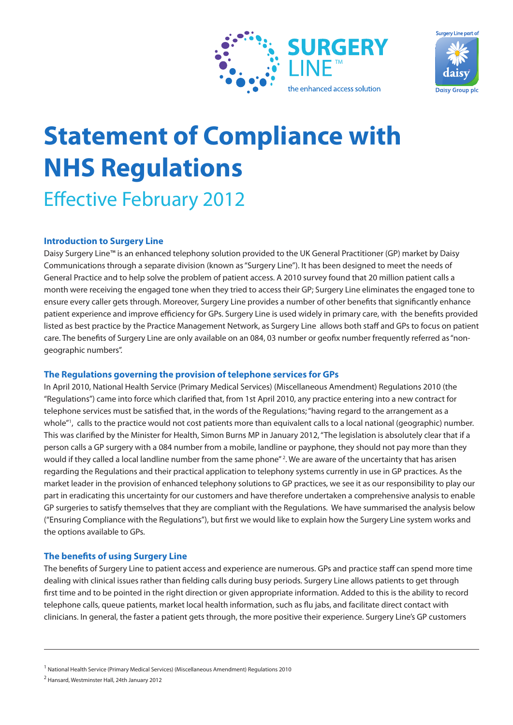



# **Statement of Compliance with NHS Regulations**

Effective February 2012

# **Introduction to Surgery Line**

Daisy Surgery Line™ is an enhanced telephony solution provided to the UK General Practitioner (GP) market by Daisy Communications through a separate division (known as "Surgery Line"). It has been designed to meet the needs of General Practice and to help solve the problem of patient access. A 2010 survey found that 20 million patient calls a month were receiving the engaged tone when they tried to access their GP; Surgery Line eliminates the engaged tone to ensure every caller gets through. Moreover, Surgery Line provides a number of other benefits that significantly enhance patient experience and improve efficiency for GPs. Surgery Line is used widely in primary care, with the benefits provided listed as best practice by the Practice Management Network, as Surgery Line allows both staff and GPs to focus on patient care. The benefits of Surgery Line are only available on an 084, 03 number or geofix number frequently referred as "nongeographic numbers".

# **The Regulations governing the provision of telephone services for GPs**

In April 2010, National Health Service (Primary Medical Services) (Miscellaneous Amendment) Regulations 2010 (the "Regulations") came into force which clarified that, from 1st April 2010, any practice entering into a new contract for telephone services must be satisfied that, in the words of the Regulations; "having regard to the arrangement as a whole"<sup>1</sup>, calls to the practice would not cost patients more than equivalent calls to a local national (geographic) number. This was clarified by the Minister for Health, Simon Burns MP in January 2012, "The legislation is absolutely clear that if a person calls a GP surgery with a 084 number from a mobile, landline or payphone, they should not pay more than they would if they called a local landline number from the same phone"<sup>2</sup>. We are aware of the uncertainty that has arisen regarding the Regulations and their practical application to telephony systems currently in use in GP practices. As the market leader in the provision of enhanced telephony solutions to GP practices, we see it as our responsibility to play our part in eradicating this uncertainty for our customers and have therefore undertaken a comprehensive analysis to enable GP surgeries to satisfy themselves that they are compliant with the Regulations. We have summarised the analysis below ("Ensuring Compliance with the Regulations"), but first we would like to explain how the Surgery Line system works and the options available to GPs.

# **The benefits of using Surgery Line**

The benefits of Surgery Line to patient access and experience are numerous. GPs and practice staff can spend more time dealing with clinical issues rather than fielding calls during busy periods. Surgery Line allows patients to get through first time and to be pointed in the right direction or given appropriate information. Added to this is the ability to record telephone calls, queue patients, market local health information, such as flu jabs, and facilitate direct contact with clinicians. In general, the faster a patient gets through, the more positive their experience. Surgery Line's GP customers

<sup>&</sup>lt;sup>1</sup> National Health Service (Primary Medical Services) (Miscellaneous Amendment) Regulations 2010

<sup>2</sup> Hansard, Westminster Hall, 24th January 2012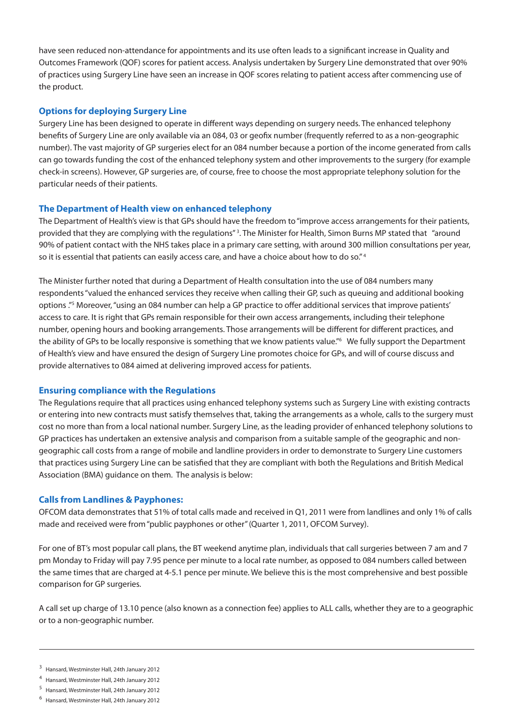have seen reduced non-attendance for appointments and its use often leads to a significant increase in Quality and Outcomes Framework (QOF) scores for patient access. Analysis undertaken by Surgery Line demonstrated that over 90% of practices using Surgery Line have seen an increase in QOF scores relating to patient access after commencing use of the product.

# **Options for deploying Surgery Line**

Surgery Line has been designed to operate in different ways depending on surgery needs. The enhanced telephony benefits of Surgery Line are only available via an 084, 03 or geofix number (frequently referred to as a non-geographic number). The vast majority of GP surgeries elect for an 084 number because a portion of the income generated from calls can go towards funding the cost of the enhanced telephony system and other improvements to the surgery (for example check-in screens). However, GP surgeries are, of course, free to choose the most appropriate telephony solution for the particular needs of their patients.

# **The Department of Health view on enhanced telephony**

The Department of Health's view is that GPs should have the freedom to "improve access arrangements for their patients, provided that they are complying with the regulations"<sup>3</sup>. The Minister for Health, Simon Burns MP stated that "around 90% of patient contact with the NHS takes place in a primary care setting, with around 300 million consultations per year, so it is essential that patients can easily access care, and have a choice about how to do so."<sup>4</sup>

The Minister further noted that during a Department of Health consultation into the use of 084 numbers many respondents "valued the enhanced services they receive when calling their GP, such as queuing and additional booking options ."5 Moreover, "using an 084 number can help a GP practice to offer additional services that improve patients' access to care. It is right that GPs remain responsible for their own access arrangements, including their telephone number, opening hours and booking arrangements. Those arrangements will be different for different practices, and the ability of GPs to be locally responsive is something that we know patients value."6 We fully support the Department of Health's view and have ensured the design of Surgery Line promotes choice for GPs, and will of course discuss and provide alternatives to 084 aimed at delivering improved access for patients.

# **Ensuring compliance with the Regulations**

The Regulations require that all practices using enhanced telephony systems such as Surgery Line with existing contracts or entering into new contracts must satisfy themselves that, taking the arrangements as a whole, calls to the surgery must cost no more than from a local national number. Surgery Line, as the leading provider of enhanced telephony solutions to GP practices has undertaken an extensive analysis and comparison from a suitable sample of the geographic and nongeographic call costs from a range of mobile and landline providers in order to demonstrate to Surgery Line customers that practices using Surgery Line can be satisfied that they are compliant with both the Regulations and British Medical Association (BMA) guidance on them. The analysis is below:

# **Calls from Landlines & Payphones:**

OFCOM data demonstrates that 51% of total calls made and received in Q1, 2011 were from landlines and only 1% of calls made and received were from "public payphones or other" (Quarter 1, 2011, OFCOM Survey).

For one of BT's most popular call plans, the BT weekend anytime plan, individuals that call surgeries between 7 am and 7 pm Monday to Friday will pay 7.95 pence per minute to a local rate number, as opposed to 084 numbers called between the same times that are charged at 4-5.1 pence per minute. We believe this is the most comprehensive and best possible comparison for GP surgeries.

A call set up charge of 13.10 pence (also known as a connection fee) applies to ALL calls, whether they are to a geographic or to a non-geographic number.

- <sup>3</sup> Hansard, Westminster Hall, 24th January 2012
- 4 Hansard, Westminster Hall, 24th January 2012
- 5 Hansard, Westminster Hall, 24th January 2012
- 6 Hansard, Westminster Hall, 24th January 2012